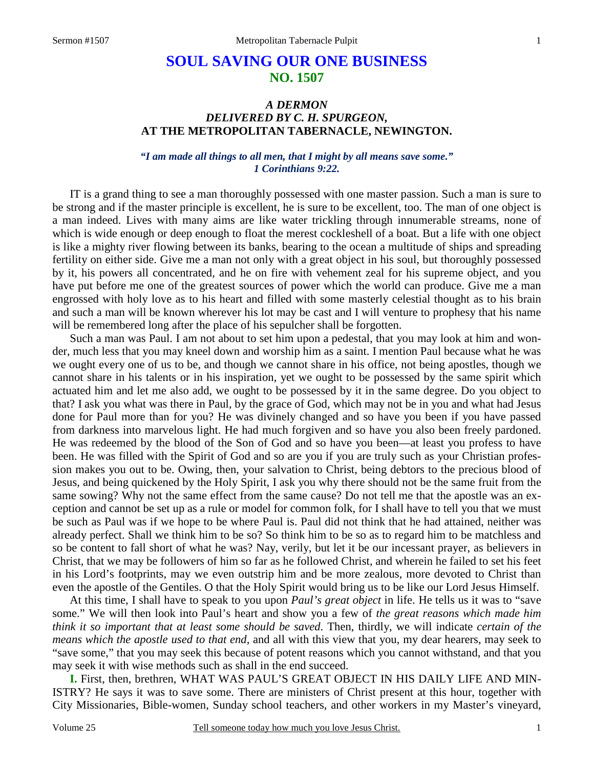# **SOUL SAVING OUR ONE BUSINESS NO. 1507**

## *A DERMON DELIVERED BY C. H. SPURGEON,*  **AT THE METROPOLITAN TABERNACLE, NEWINGTON.**

### *"I am made all things to all men, that I might by all means save some." 1 Corinthians 9:22.*

IT is a grand thing to see a man thoroughly possessed with one master passion. Such a man is sure to be strong and if the master principle is excellent, he is sure to be excellent, too. The man of one object is a man indeed. Lives with many aims are like water trickling through innumerable streams, none of which is wide enough or deep enough to float the merest cockleshell of a boat. But a life with one object is like a mighty river flowing between its banks, bearing to the ocean a multitude of ships and spreading fertility on either side. Give me a man not only with a great object in his soul, but thoroughly possessed by it, his powers all concentrated, and he on fire with vehement zeal for his supreme object, and you have put before me one of the greatest sources of power which the world can produce. Give me a man engrossed with holy love as to his heart and filled with some masterly celestial thought as to his brain and such a man will be known wherever his lot may be cast and I will venture to prophesy that his name will be remembered long after the place of his sepulcher shall be forgotten.

 Such a man was Paul. I am not about to set him upon a pedestal, that you may look at him and wonder, much less that you may kneel down and worship him as a saint. I mention Paul because what he was we ought every one of us to be, and though we cannot share in his office, not being apostles, though we cannot share in his talents or in his inspiration, yet we ought to be possessed by the same spirit which actuated him and let me also add, we ought to be possessed by it in the same degree. Do you object to that? I ask you what was there in Paul, by the grace of God, which may not be in you and what had Jesus done for Paul more than for you? He was divinely changed and so have you been if you have passed from darkness into marvelous light. He had much forgiven and so have you also been freely pardoned. He was redeemed by the blood of the Son of God and so have you been—at least you profess to have been. He was filled with the Spirit of God and so are you if you are truly such as your Christian profession makes you out to be. Owing, then, your salvation to Christ, being debtors to the precious blood of Jesus, and being quickened by the Holy Spirit, I ask you why there should not be the same fruit from the same sowing? Why not the same effect from the same cause? Do not tell me that the apostle was an exception and cannot be set up as a rule or model for common folk, for I shall have to tell you that we must be such as Paul was if we hope to be where Paul is. Paul did not think that he had attained, neither was already perfect. Shall we think him to be so? So think him to be so as to regard him to be matchless and so be content to fall short of what he was? Nay, verily, but let it be our incessant prayer, as believers in Christ, that we may be followers of him so far as he followed Christ, and wherein he failed to set his feet in his Lord's footprints, may we even outstrip him and be more zealous, more devoted to Christ than even the apostle of the Gentiles. O that the Holy Spirit would bring us to be like our Lord Jesus Himself.

 At this time, I shall have to speak to you upon *Paul's great object* in life. He tells us it was to "save some." We will then look into Paul's heart and show you a few of *the great reasons which made him think it so important that at least some should be saved*. Then, thirdly, we will indicate *certain of the means which the apostle used to that end,* and all with this view that you, my dear hearers, may seek to "save some," that you may seek this because of potent reasons which you cannot withstand, and that you may seek it with wise methods such as shall in the end succeed.

**I.** First, then, brethren, WHAT WAS PAUL'S GREAT OBJECT IN HIS DAILY LIFE AND MIN-ISTRY? He says it was to save some. There are ministers of Christ present at this hour, together with City Missionaries, Bible-women, Sunday school teachers, and other workers in my Master's vineyard,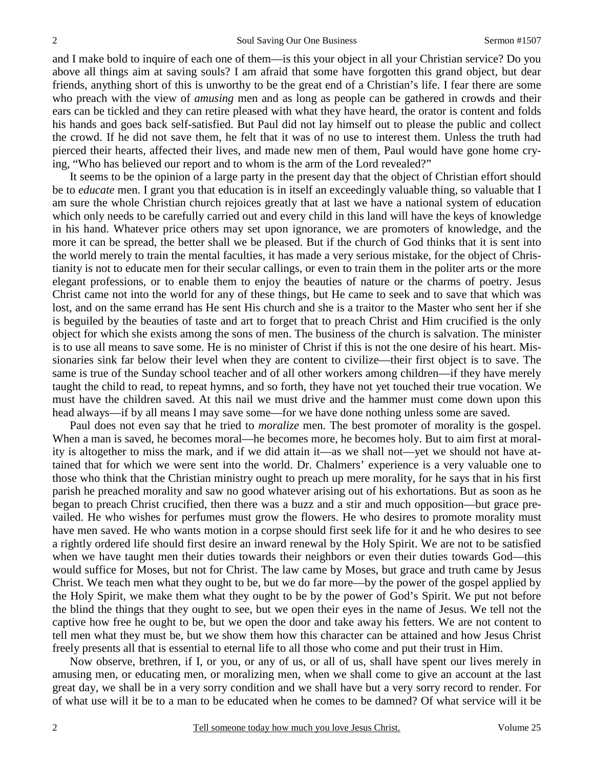and I make bold to inquire of each one of them—is this your object in all your Christian service? Do you above all things aim at saving souls? I am afraid that some have forgotten this grand object, but dear friends, anything short of this is unworthy to be the great end of a Christian's life. I fear there are some who preach with the view of *amusing* men and as long as people can be gathered in crowds and their ears can be tickled and they can retire pleased with what they have heard, the orator is content and folds his hands and goes back self-satisfied. But Paul did not lay himself out to please the public and collect the crowd. If he did not save them, he felt that it was of no use to interest them. Unless the truth had pierced their hearts, affected their lives, and made new men of them, Paul would have gone home crying, "Who has believed our report and to whom is the arm of the Lord revealed?"

 It seems to be the opinion of a large party in the present day that the object of Christian effort should be to *educate* men. I grant you that education is in itself an exceedingly valuable thing, so valuable that I am sure the whole Christian church rejoices greatly that at last we have a national system of education which only needs to be carefully carried out and every child in this land will have the keys of knowledge in his hand. Whatever price others may set upon ignorance, we are promoters of knowledge, and the more it can be spread, the better shall we be pleased. But if the church of God thinks that it is sent into the world merely to train the mental faculties, it has made a very serious mistake, for the object of Christianity is not to educate men for their secular callings, or even to train them in the politer arts or the more elegant professions, or to enable them to enjoy the beauties of nature or the charms of poetry. Jesus Christ came not into the world for any of these things, but He came to seek and to save that which was lost, and on the same errand has He sent His church and she is a traitor to the Master who sent her if she is beguiled by the beauties of taste and art to forget that to preach Christ and Him crucified is the only object for which she exists among the sons of men. The business of the church is salvation. The minister is to use all means to save some. He is no minister of Christ if this is not the one desire of his heart. Missionaries sink far below their level when they are content to civilize—their first object is to save. The same is true of the Sunday school teacher and of all other workers among children—if they have merely taught the child to read, to repeat hymns, and so forth, they have not yet touched their true vocation. We must have the children saved. At this nail we must drive and the hammer must come down upon this head always—if by all means I may save some—for we have done nothing unless some are saved.

 Paul does not even say that he tried to *moralize* men. The best promoter of morality is the gospel. When a man is saved, he becomes moral—he becomes more, he becomes holy. But to aim first at morality is altogether to miss the mark, and if we did attain it—as we shall not—yet we should not have attained that for which we were sent into the world. Dr. Chalmers' experience is a very valuable one to those who think that the Christian ministry ought to preach up mere morality, for he says that in his first parish he preached morality and saw no good whatever arising out of his exhortations. But as soon as he began to preach Christ crucified, then there was a buzz and a stir and much opposition—but grace prevailed. He who wishes for perfumes must grow the flowers. He who desires to promote morality must have men saved. He who wants motion in a corpse should first seek life for it and he who desires to see a rightly ordered life should first desire an inward renewal by the Holy Spirit. We are not to be satisfied when we have taught men their duties towards their neighbors or even their duties towards God—this would suffice for Moses, but not for Christ. The law came by Moses, but grace and truth came by Jesus Christ. We teach men what they ought to be, but we do far more—by the power of the gospel applied by the Holy Spirit, we make them what they ought to be by the power of God's Spirit. We put not before the blind the things that they ought to see, but we open their eyes in the name of Jesus. We tell not the captive how free he ought to be, but we open the door and take away his fetters. We are not content to tell men what they must be, but we show them how this character can be attained and how Jesus Christ freely presents all that is essential to eternal life to all those who come and put their trust in Him.

 Now observe, brethren, if I, or you, or any of us, or all of us, shall have spent our lives merely in amusing men, or educating men, or moralizing men, when we shall come to give an account at the last great day, we shall be in a very sorry condition and we shall have but a very sorry record to render. For of what use will it be to a man to be educated when he comes to be damned? Of what service will it be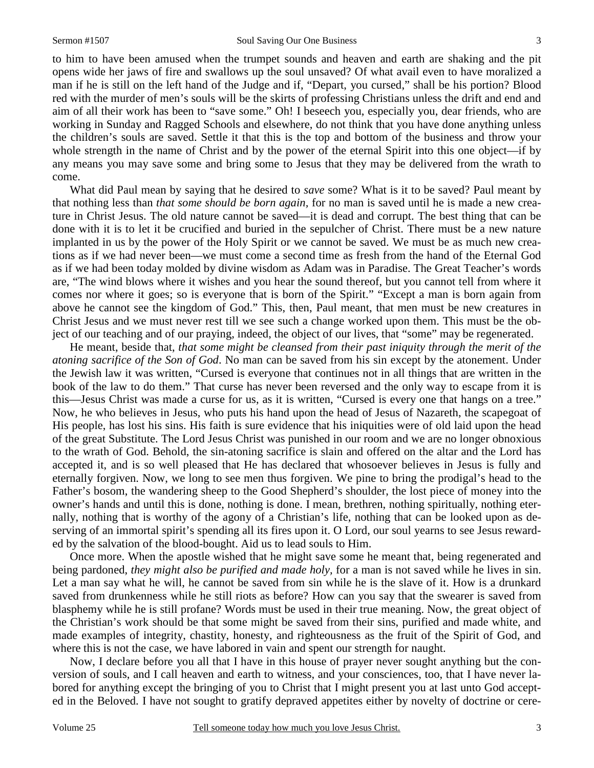to him to have been amused when the trumpet sounds and heaven and earth are shaking and the pit opens wide her jaws of fire and swallows up the soul unsaved? Of what avail even to have moralized a man if he is still on the left hand of the Judge and if, "Depart, you cursed," shall be his portion? Blood red with the murder of men's souls will be the skirts of professing Christians unless the drift and end and aim of all their work has been to "save some." Oh! I beseech you, especially you, dear friends, who are working in Sunday and Ragged Schools and elsewhere, do not think that you have done anything unless the children's souls are saved. Settle it that this is the top and bottom of the business and throw your whole strength in the name of Christ and by the power of the eternal Spirit into this one object—if by any means you may save some and bring some to Jesus that they may be delivered from the wrath to come.

 What did Paul mean by saying that he desired to *save* some? What is it to be saved? Paul meant by that nothing less than *that some should be born again,* for no man is saved until he is made a new creature in Christ Jesus. The old nature cannot be saved—it is dead and corrupt. The best thing that can be done with it is to let it be crucified and buried in the sepulcher of Christ. There must be a new nature implanted in us by the power of the Holy Spirit or we cannot be saved. We must be as much new creations as if we had never been—we must come a second time as fresh from the hand of the Eternal God as if we had been today molded by divine wisdom as Adam was in Paradise. The Great Teacher's words are, "The wind blows where it wishes and you hear the sound thereof, but you cannot tell from where it comes nor where it goes; so is everyone that is born of the Spirit." "Except a man is born again from above he cannot see the kingdom of God." This, then, Paul meant, that men must be new creatures in Christ Jesus and we must never rest till we see such a change worked upon them. This must be the object of our teaching and of our praying, indeed, the object of our lives, that "some" may be regenerated.

 He meant, beside that, *that some might be cleansed from their past iniquity through the merit of the atoning sacrifice of the Son of God*. No man can be saved from his sin except by the atonement. Under the Jewish law it was written, "Cursed is everyone that continues not in all things that are written in the book of the law to do them." That curse has never been reversed and the only way to escape from it is this—Jesus Christ was made a curse for us, as it is written, "Cursed is every one that hangs on a tree." Now, he who believes in Jesus, who puts his hand upon the head of Jesus of Nazareth, the scapegoat of His people, has lost his sins. His faith is sure evidence that his iniquities were of old laid upon the head of the great Substitute. The Lord Jesus Christ was punished in our room and we are no longer obnoxious to the wrath of God. Behold, the sin-atoning sacrifice is slain and offered on the altar and the Lord has accepted it, and is so well pleased that He has declared that whosoever believes in Jesus is fully and eternally forgiven. Now, we long to see men thus forgiven. We pine to bring the prodigal's head to the Father's bosom, the wandering sheep to the Good Shepherd's shoulder, the lost piece of money into the owner's hands and until this is done, nothing is done. I mean, brethren, nothing spiritually, nothing eternally, nothing that is worthy of the agony of a Christian's life, nothing that can be looked upon as deserving of an immortal spirit's spending all its fires upon it. O Lord, our soul yearns to see Jesus rewarded by the salvation of the blood-bought. Aid us to lead souls to Him.

 Once more. When the apostle wished that he might save some he meant that, being regenerated and being pardoned, *they might also be purified and made holy,* for a man is not saved while he lives in sin. Let a man say what he will, he cannot be saved from sin while he is the slave of it. How is a drunkard saved from drunkenness while he still riots as before? How can you say that the swearer is saved from blasphemy while he is still profane? Words must be used in their true meaning. Now, the great object of the Christian's work should be that some might be saved from their sins, purified and made white, and made examples of integrity, chastity, honesty, and righteousness as the fruit of the Spirit of God, and where this is not the case, we have labored in vain and spent our strength for naught.

 Now, I declare before you all that I have in this house of prayer never sought anything but the conversion of souls, and I call heaven and earth to witness, and your consciences, too, that I have never labored for anything except the bringing of you to Christ that I might present you at last unto God accepted in the Beloved. I have not sought to gratify depraved appetites either by novelty of doctrine or cere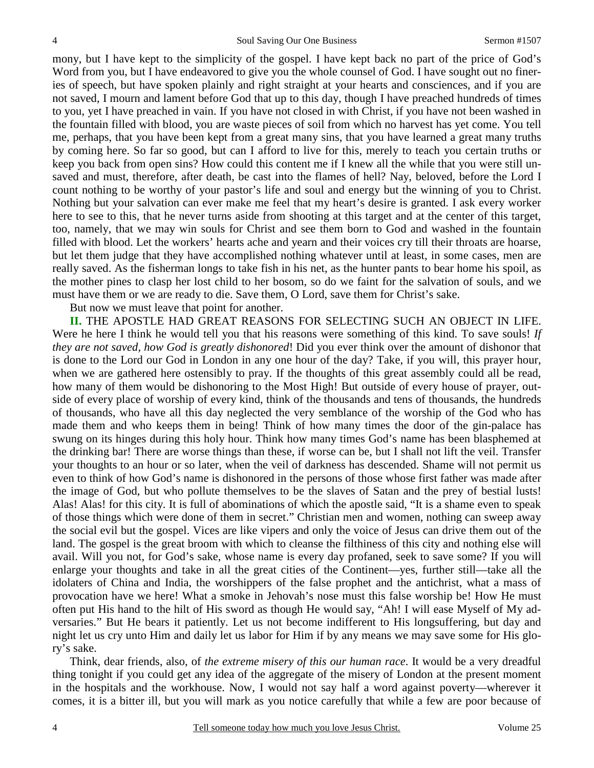mony, but I have kept to the simplicity of the gospel. I have kept back no part of the price of God's Word from you, but I have endeavored to give you the whole counsel of God. I have sought out no fineries of speech, but have spoken plainly and right straight at your hearts and consciences, and if you are not saved, I mourn and lament before God that up to this day, though I have preached hundreds of times to you, yet I have preached in vain. If you have not closed in with Christ, if you have not been washed in the fountain filled with blood, you are waste pieces of soil from which no harvest has yet come. You tell me, perhaps, that you have been kept from a great many sins, that you have learned a great many truths by coming here. So far so good, but can I afford to live for this, merely to teach you certain truths or keep you back from open sins? How could this content me if I knew all the while that you were still unsaved and must, therefore, after death, be cast into the flames of hell? Nay, beloved, before the Lord I count nothing to be worthy of your pastor's life and soul and energy but the winning of you to Christ. Nothing but your salvation can ever make me feel that my heart's desire is granted. I ask every worker here to see to this, that he never turns aside from shooting at this target and at the center of this target, too, namely, that we may win souls for Christ and see them born to God and washed in the fountain filled with blood. Let the workers' hearts ache and yearn and their voices cry till their throats are hoarse, but let them judge that they have accomplished nothing whatever until at least, in some cases, men are really saved. As the fisherman longs to take fish in his net, as the hunter pants to bear home his spoil, as the mother pines to clasp her lost child to her bosom, so do we faint for the salvation of souls, and we must have them or we are ready to die. Save them, O Lord, save them for Christ's sake.

But now we must leave that point for another.

**II.** THE APOSTLE HAD GREAT REASONS FOR SELECTING SUCH AN OBJECT IN LIFE. Were he here I think he would tell you that his reasons were something of this kind. To save souls! *If they are not saved, how God is greatly dishonored*! Did you ever think over the amount of dishonor that is done to the Lord our God in London in any one hour of the day? Take, if you will, this prayer hour, when we are gathered here ostensibly to pray. If the thoughts of this great assembly could all be read, how many of them would be dishonoring to the Most High! But outside of every house of prayer, outside of every place of worship of every kind, think of the thousands and tens of thousands, the hundreds of thousands, who have all this day neglected the very semblance of the worship of the God who has made them and who keeps them in being! Think of how many times the door of the gin-palace has swung on its hinges during this holy hour. Think how many times God's name has been blasphemed at the drinking bar! There are worse things than these, if worse can be, but I shall not lift the veil. Transfer your thoughts to an hour or so later, when the veil of darkness has descended. Shame will not permit us even to think of how God's name is dishonored in the persons of those whose first father was made after the image of God, but who pollute themselves to be the slaves of Satan and the prey of bestial lusts! Alas! Alas! for this city. It is full of abominations of which the apostle said, "It is a shame even to speak of those things which were done of them in secret." Christian men and women, nothing can sweep away the social evil but the gospel. Vices are like vipers and only the voice of Jesus can drive them out of the land. The gospel is the great broom with which to cleanse the filthiness of this city and nothing else will avail. Will you not, for God's sake, whose name is every day profaned, seek to save some? If you will enlarge your thoughts and take in all the great cities of the Continent—yes, further still—take all the idolaters of China and India, the worshippers of the false prophet and the antichrist, what a mass of provocation have we here! What a smoke in Jehovah's nose must this false worship be! How He must often put His hand to the hilt of His sword as though He would say, "Ah! I will ease Myself of My adversaries." But He bears it patiently. Let us not become indifferent to His longsuffering, but day and night let us cry unto Him and daily let us labor for Him if by any means we may save some for His glory's sake.

 Think, dear friends, also, of *the extreme misery of this our human race*. It would be a very dreadful thing tonight if you could get any idea of the aggregate of the misery of London at the present moment in the hospitals and the workhouse. Now, I would not say half a word against poverty—wherever it comes, it is a bitter ill, but you will mark as you notice carefully that while a few are poor because of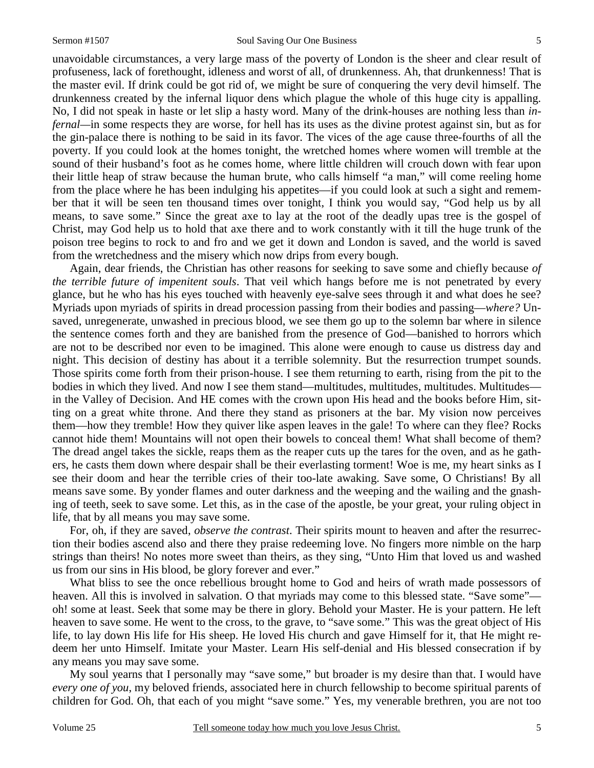unavoidable circumstances, a very large mass of the poverty of London is the sheer and clear result of profuseness, lack of forethought, idleness and worst of all, of drunkenness. Ah, that drunkenness! That is the master evil. If drink could be got rid of, we might be sure of conquering the very devil himself. The drunkenness created by the infernal liquor dens which plague the whole of this huge city is appalling. No, I did not speak in haste or let slip a hasty word. Many of the drink-houses are nothing less than *infernal—*in some respects they are worse, for hell has its uses as the divine protest against sin, but as for the gin-palace there is nothing to be said in its favor. The vices of the age cause three-fourths of all the poverty. If you could look at the homes tonight, the wretched homes where women will tremble at the sound of their husband's foot as he comes home, where little children will crouch down with fear upon their little heap of straw because the human brute, who calls himself "a man," will come reeling home from the place where he has been indulging his appetites—if you could look at such a sight and remember that it will be seen ten thousand times over tonight, I think you would say, "God help us by all means, to save some." Since the great axe to lay at the root of the deadly upas tree is the gospel of Christ, may God help us to hold that axe there and to work constantly with it till the huge trunk of the poison tree begins to rock to and fro and we get it down and London is saved, and the world is saved from the wretchedness and the misery which now drips from every bough.

 Again, dear friends, the Christian has other reasons for seeking to save some and chiefly because *of the terrible future of impenitent souls*. That veil which hangs before me is not penetrated by every glance, but he who has his eyes touched with heavenly eye-salve sees through it and what does he see? Myriads upon myriads of spirits in dread procession passing from their bodies and passing—*where?* Unsaved, unregenerate, unwashed in precious blood, we see them go up to the solemn bar where in silence the sentence comes forth and they are banished from the presence of God—banished to horrors which are not to be described nor even to be imagined. This alone were enough to cause us distress day and night. This decision of destiny has about it a terrible solemnity. But the resurrection trumpet sounds. Those spirits come forth from their prison-house. I see them returning to earth, rising from the pit to the bodies in which they lived. And now I see them stand—multitudes, multitudes, multitudes. Multitudes in the Valley of Decision. And HE comes with the crown upon His head and the books before Him, sitting on a great white throne. And there they stand as prisoners at the bar. My vision now perceives them—how they tremble! How they quiver like aspen leaves in the gale! To where can they flee? Rocks cannot hide them! Mountains will not open their bowels to conceal them! What shall become of them? The dread angel takes the sickle, reaps them as the reaper cuts up the tares for the oven, and as he gathers, he casts them down where despair shall be their everlasting torment! Woe is me, my heart sinks as I see their doom and hear the terrible cries of their too-late awaking. Save some, O Christians! By all means save some. By yonder flames and outer darkness and the weeping and the wailing and the gnashing of teeth, seek to save some. Let this, as in the case of the apostle, be your great, your ruling object in life, that by all means you may save some.

 For, oh, if they are saved, *observe the contrast*. Their spirits mount to heaven and after the resurrection their bodies ascend also and there they praise redeeming love. No fingers more nimble on the harp strings than theirs! No notes more sweet than theirs, as they sing, "Unto Him that loved us and washed us from our sins in His blood, be glory forever and ever."

 What bliss to see the once rebellious brought home to God and heirs of wrath made possessors of heaven. All this is involved in salvation. O that myriads may come to this blessed state. "Save some" oh! some at least. Seek that some may be there in glory. Behold your Master. He is your pattern. He left heaven to save some. He went to the cross, to the grave, to "save some." This was the great object of His life, to lay down His life for His sheep. He loved His church and gave Himself for it, that He might redeem her unto Himself. Imitate your Master. Learn His self-denial and His blessed consecration if by any means you may save some.

 My soul yearns that I personally may "save some," but broader is my desire than that. I would have *every one of you*, my beloved friends, associated here in church fellowship to become spiritual parents of children for God. Oh, that each of you might "save some." Yes, my venerable brethren, you are not too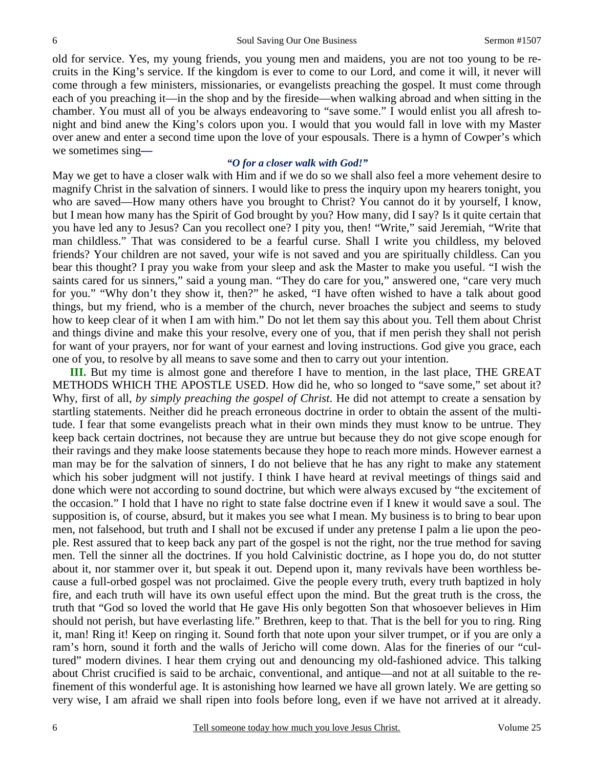old for service. Yes, my young friends, you young men and maidens, you are not too young to be recruits in the King's service. If the kingdom is ever to come to our Lord, and come it will, it never will come through a few ministers, missionaries, or evangelists preaching the gospel. It must come through each of you preaching it—in the shop and by the fireside—when walking abroad and when sitting in the chamber. You must all of you be always endeavoring to "save some." I would enlist you all afresh tonight and bind anew the King's colors upon you. I would that you would fall in love with my Master over anew and enter a second time upon the love of your espousals. There is a hymn of Cowper's which we sometimes sing*—*

#### *"O for a closer walk with God!"*

May we get to have a closer walk with Him and if we do so we shall also feel a more vehement desire to magnify Christ in the salvation of sinners. I would like to press the inquiry upon my hearers tonight, you who are saved—How many others have you brought to Christ? You cannot do it by yourself, I know, but I mean how many has the Spirit of God brought by you? How many, did I say? Is it quite certain that you have led any to Jesus? Can you recollect one? I pity you, then! "Write," said Jeremiah, "Write that man childless." That was considered to be a fearful curse. Shall I write you childless, my beloved friends? Your children are not saved, your wife is not saved and you are spiritually childless. Can you bear this thought? I pray you wake from your sleep and ask the Master to make you useful. "I wish the saints cared for us sinners," said a young man. "They do care for you," answered one, "care very much for you." "Why don't they show it, then?" he asked, "I have often wished to have a talk about good things, but my friend, who is a member of the church, never broaches the subject and seems to study how to keep clear of it when I am with him." Do not let them say this about you. Tell them about Christ and things divine and make this your resolve, every one of you, that if men perish they shall not perish for want of your prayers, nor for want of your earnest and loving instructions. God give you grace, each one of you, to resolve by all means to save some and then to carry out your intention.

**III.** But my time is almost gone and therefore I have to mention, in the last place, THE GREAT METHODS WHICH THE APOSTLE USED. How did he, who so longed to "save some," set about it? Why, first of all, *by simply preaching the gospel of Christ*. He did not attempt to create a sensation by startling statements. Neither did he preach erroneous doctrine in order to obtain the assent of the multitude. I fear that some evangelists preach what in their own minds they must know to be untrue. They keep back certain doctrines, not because they are untrue but because they do not give scope enough for their ravings and they make loose statements because they hope to reach more minds. However earnest a man may be for the salvation of sinners, I do not believe that he has any right to make any statement which his sober judgment will not justify. I think I have heard at revival meetings of things said and done which were not according to sound doctrine, but which were always excused by "the excitement of the occasion." I hold that I have no right to state false doctrine even if I knew it would save a soul. The supposition is, of course, absurd, but it makes you see what I mean. My business is to bring to bear upon men, not falsehood, but truth and I shall not be excused if under any pretense I palm a lie upon the people. Rest assured that to keep back any part of the gospel is not the right, nor the true method for saving men. Tell the sinner all the doctrines. If you hold Calvinistic doctrine, as I hope you do, do not stutter about it, nor stammer over it, but speak it out. Depend upon it, many revivals have been worthless because a full-orbed gospel was not proclaimed. Give the people every truth, every truth baptized in holy fire, and each truth will have its own useful effect upon the mind. But the great truth is the cross, the truth that "God so loved the world that He gave His only begotten Son that whosoever believes in Him should not perish, but have everlasting life." Brethren, keep to that. That is the bell for you to ring. Ring it, man! Ring it! Keep on ringing it. Sound forth that note upon your silver trumpet, or if you are only a ram's horn, sound it forth and the walls of Jericho will come down. Alas for the fineries of our "cultured" modern divines. I hear them crying out and denouncing my old-fashioned advice. This talking about Christ crucified is said to be archaic, conventional, and antique—and not at all suitable to the refinement of this wonderful age. It is astonishing how learned we have all grown lately. We are getting so very wise, I am afraid we shall ripen into fools before long, even if we have not arrived at it already.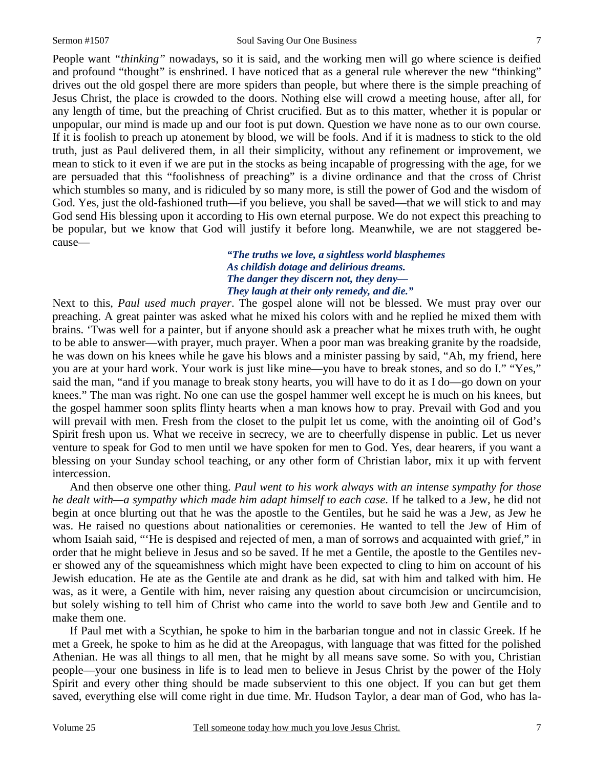7

People want *"thinking"* nowadays, so it is said, and the working men will go where science is deified and profound "thought" is enshrined. I have noticed that as a general rule wherever the new "thinking" drives out the old gospel there are more spiders than people, but where there is the simple preaching of Jesus Christ, the place is crowded to the doors. Nothing else will crowd a meeting house, after all, for any length of time, but the preaching of Christ crucified. But as to this matter, whether it is popular or unpopular, our mind is made up and our foot is put down. Question we have none as to our own course. If it is foolish to preach up atonement by blood, we will be fools. And if it is madness to stick to the old truth, just as Paul delivered them, in all their simplicity, without any refinement or improvement, we mean to stick to it even if we are put in the stocks as being incapable of progressing with the age, for we are persuaded that this "foolishness of preaching" is a divine ordinance and that the cross of Christ which stumbles so many, and is ridiculed by so many more, is still the power of God and the wisdom of God. Yes, just the old-fashioned truth—if you believe, you shall be saved—that we will stick to and may God send His blessing upon it according to His own eternal purpose. We do not expect this preaching to be popular, but we know that God will justify it before long. Meanwhile, we are not staggered because—

### *"The truths we love, a sightless world blasphemes As childish dotage and delirious dreams. The danger they discern not, they deny— They laugh at their only remedy, and die."*

Next to this, *Paul used much prayer*. The gospel alone will not be blessed. We must pray over our preaching. A great painter was asked what he mixed his colors with and he replied he mixed them with brains. 'Twas well for a painter, but if anyone should ask a preacher what he mixes truth with, he ought to be able to answer—with prayer, much prayer. When a poor man was breaking granite by the roadside, he was down on his knees while he gave his blows and a minister passing by said, "Ah, my friend, here you are at your hard work. Your work is just like mine—you have to break stones, and so do I." "Yes," said the man, "and if you manage to break stony hearts, you will have to do it as I do—go down on your knees." The man was right. No one can use the gospel hammer well except he is much on his knees, but the gospel hammer soon splits flinty hearts when a man knows how to pray. Prevail with God and you will prevail with men. Fresh from the closet to the pulpit let us come, with the anointing oil of God's Spirit fresh upon us. What we receive in secrecy, we are to cheerfully dispense in public. Let us never venture to speak for God to men until we have spoken for men to God. Yes, dear hearers, if you want a blessing on your Sunday school teaching, or any other form of Christian labor, mix it up with fervent intercession.

 And then observe one other thing. *Paul went to his work always with an intense sympathy for those he dealt with—a sympathy which made him adapt himself to each case*. If he talked to a Jew, he did not begin at once blurting out that he was the apostle to the Gentiles, but he said he was a Jew, as Jew he was. He raised no questions about nationalities or ceremonies. He wanted to tell the Jew of Him of whom Isaiah said, "'He is despised and rejected of men, a man of sorrows and acquainted with grief," in order that he might believe in Jesus and so be saved. If he met a Gentile, the apostle to the Gentiles never showed any of the squeamishness which might have been expected to cling to him on account of his Jewish education. He ate as the Gentile ate and drank as he did, sat with him and talked with him. He was, as it were, a Gentile with him, never raising any question about circumcision or uncircumcision, but solely wishing to tell him of Christ who came into the world to save both Jew and Gentile and to make them one.

 If Paul met with a Scythian, he spoke to him in the barbarian tongue and not in classic Greek. If he met a Greek, he spoke to him as he did at the Areopagus, with language that was fitted for the polished Athenian. He was all things to all men, that he might by all means save some. So with you, Christian people—your one business in life is to lead men to believe in Jesus Christ by the power of the Holy Spirit and every other thing should be made subservient to this one object. If you can but get them saved, everything else will come right in due time. Mr. Hudson Taylor, a dear man of God, who has la